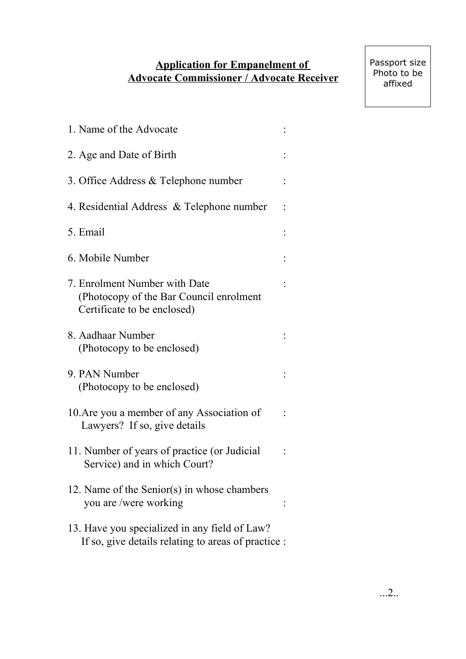## **Application for Empanelment of Advocate Commissioner / Advocate Receiver**

Passport size Photo to be affixed

| 1. Name of the Advocate                                                                                 |  |
|---------------------------------------------------------------------------------------------------------|--|
| 2. Age and Date of Birth                                                                                |  |
| 3. Office Address & Telephone number                                                                    |  |
| 4. Residential Address & Telephone number                                                               |  |
| 5. Email                                                                                                |  |
| 6. Mobile Number                                                                                        |  |
| 7. Enrolment Number with Date<br>(Photocopy of the Bar Council enrolment<br>Certificate to be enclosed) |  |
| 8. Aadhaar Number<br>(Photocopy to be enclosed)                                                         |  |
| 9. PAN Number<br>(Photocopy to be enclosed)                                                             |  |
| 10. Are you a member of any Association of<br>Lawyers? If so, give details                              |  |
| 11. Number of years of practice (or Judicial<br>Service) and in which Court?                            |  |
| 12. Name of the Senior(s) in whose chambers<br>you are /were working                                    |  |
| 13. Have you specialized in any field of Law?<br>If so, give details relating to areas of practice :    |  |